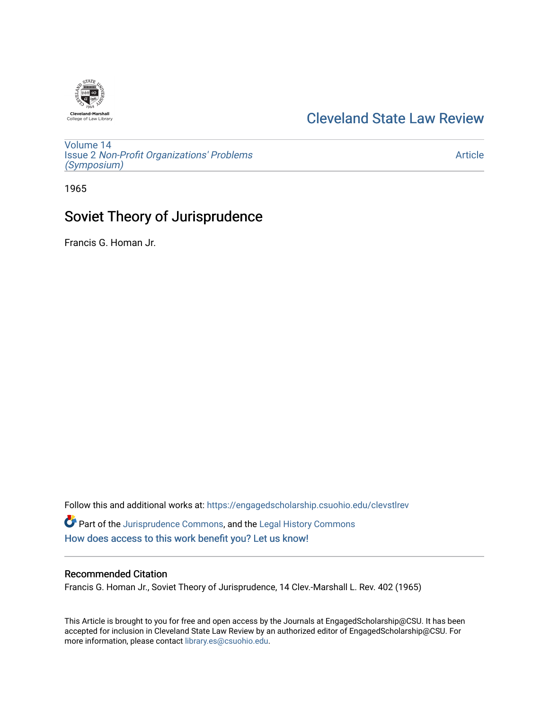

# [Cleveland State Law Review](https://engagedscholarship.csuohio.edu/clevstlrev)

[Volume 14](https://engagedscholarship.csuohio.edu/clevstlrev/vol14) Issue 2 [Non-Profit Organizations' Problems](https://engagedscholarship.csuohio.edu/clevstlrev/vol14/iss2)  [\(Symposium\)](https://engagedscholarship.csuohio.edu/clevstlrev/vol14/iss2)

[Article](https://engagedscholarship.csuohio.edu/clevstlrev/vol14/iss2/16) 

1965

# Soviet Theory of Jurisprudence

Francis G. Homan Jr.

Follow this and additional works at: [https://engagedscholarship.csuohio.edu/clevstlrev](https://engagedscholarship.csuohio.edu/clevstlrev?utm_source=engagedscholarship.csuohio.edu%2Fclevstlrev%2Fvol14%2Fiss2%2F16&utm_medium=PDF&utm_campaign=PDFCoverPages) Part of the [Jurisprudence Commons](http://network.bepress.com/hgg/discipline/610?utm_source=engagedscholarship.csuohio.edu%2Fclevstlrev%2Fvol14%2Fiss2%2F16&utm_medium=PDF&utm_campaign=PDFCoverPages), and the [Legal History Commons](http://network.bepress.com/hgg/discipline/904?utm_source=engagedscholarship.csuohio.edu%2Fclevstlrev%2Fvol14%2Fiss2%2F16&utm_medium=PDF&utm_campaign=PDFCoverPages) [How does access to this work benefit you? Let us know!](http://library.csuohio.edu/engaged/)

### Recommended Citation

Francis G. Homan Jr., Soviet Theory of Jurisprudence, 14 Clev.-Marshall L. Rev. 402 (1965)

This Article is brought to you for free and open access by the Journals at EngagedScholarship@CSU. It has been accepted for inclusion in Cleveland State Law Review by an authorized editor of EngagedScholarship@CSU. For more information, please contact [library.es@csuohio.edu](mailto:library.es@csuohio.edu).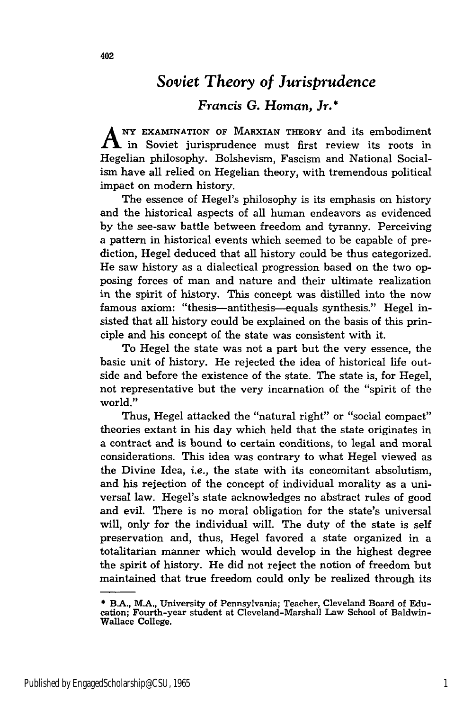402

## *Soviet Theory of Jurisprudence Francis G. Homan,* **Jr.\***

**<sup>A</sup>NY EXAMINATION OF** MARXIAN **THEORY** and its embodiment  $\mathbf \Lambda$  in Soviet jurisprudence must first review its roots in Hegelian philosophy. Bolshevism, Fascism and National Socialism have all relied on Hegelian theory, with tremendous political impact on modern history.

The essence of Hegel's philosophy is its emphasis on history and the historical aspects of all human endeavors as evidenced **by** the see-saw battle between freedom and tyranny. Perceiving a pattern in historical events which seemed to be capable of prediction, Hegel deduced that all history could be thus categorized. He saw history as a dialectical progression based on the two opposing forces of man and nature and their ultimate realization in the spirit of history. This concept was distilled into the now famous axiom: "thesis-antithesis-equals synthesis." Hegel insisted that all history could be explained on the basis of this principle and his concept of the state was consistent with it.

To Hegel the state was not a part but the very essence, the basic unit of history. He rejected the idea of historical life outside and before the existence of the state. The state is, for Hegel, not representative but the very incarnation of the "spirit of the world."

Thus, Hegel attacked the "natural right" or "social compact" theories extant in his day which held that the state originates in a contract and is bound to certain conditions, to legal and moral considerations. This idea was contrary to what Hegel viewed as the Divine Idea, *i.e.,* the state with its concomitant absolutism, and his rejection of the concept of individual morality as a universal law. Hegel's state acknowledges no abstract rules of good and evil. There is no moral obligation for the state's universal will, only for the individual will. The duty of the state is self preservation and, thus, Hegel favored a state organized in a totalitarian manner which would develop in the highest degree the spirit of history. He did not reject the notion of freedom but maintained that true freedom could only be realized through its

**<sup>\*</sup>** B.A., M.A., University of Pennsylvania; Teacher, Cleveland Board of Education; Fourth-year student at Cleveland-Marshall Law School of Baldwin-Wallace College.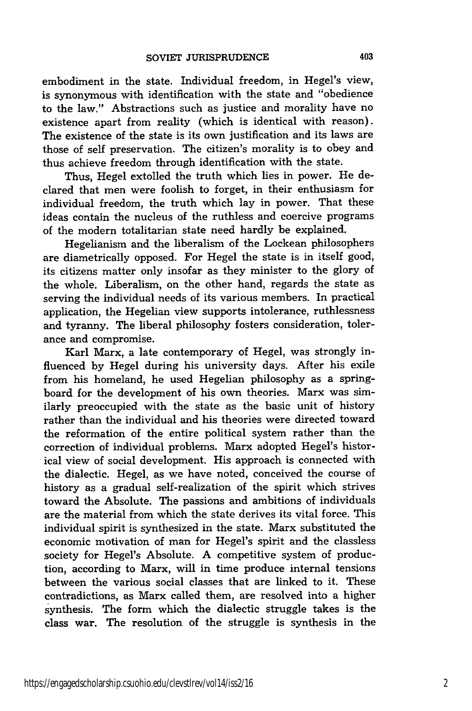embodiment in the state. Individual freedom, in Hegel's view, is synonymous with identification with the state and "obedience to the law." Abstractions such as justice and morality have no existence apart from reality (which is identical with reason). The existence of the state is its own justification and its laws are those of self preservation. The citizen's morality is to obey and thus achieve freedom through identification with the state.

Thus, Hegel extolled the truth which lies in power. He declared that men were foolish to forget, in their enthusiasm for individual freedom, the truth which lay in power. That these ideas contain the nucleus of the ruthless and coercive programs of the modern totalitarian state need hardly be explained.

Hegelianism and the liberalism of the Lockean philosophers are diametrically opposed. For Hegel the state is in itself good, its citizens matter only insofar as they minister to the glory of the whole. Liberalism, on the other hand, regards the state as serving the individual needs of its various members. In practical application, the Hegelian view supports intolerance, ruthlessness and tyranny. The liberal philosophy fosters consideration, tolerance and compromise.

Karl Marx, a late contemporary of Hegel, was strongly influenced by Hegel during his university days. After his exile from his homeland, he used Hegelian philosophy as a springboard for the development of his own theories. Marx was similarly preoccupied with the state as the basic unit of history rather than the individual and his theories were directed toward the reformation of the entire political system rather than the correction of individual problems. Marx adopted Hegel's historical view of social development. His approach is connected with the dialectic. Hegel, as we have noted, conceived the course of history as a gradual self-realization of the spirit which strives toward the Absolute. The passions and ambitions of individuals are the material from which the state derives its vital force. This individual spirit is synthesized in the state. Marx substituted the economic motivation of man for Hegel's spirit and the classless society for Hegel's Absolute. A competitive system of production, according to Marx, will in time produce internal tensions between the various social classes that are linked to it. These contradictions, as Marx called them, are resolved into a higher synthesis. The form which the dialectic struggle takes is the class war. The resolution of the struggle is synthesis in the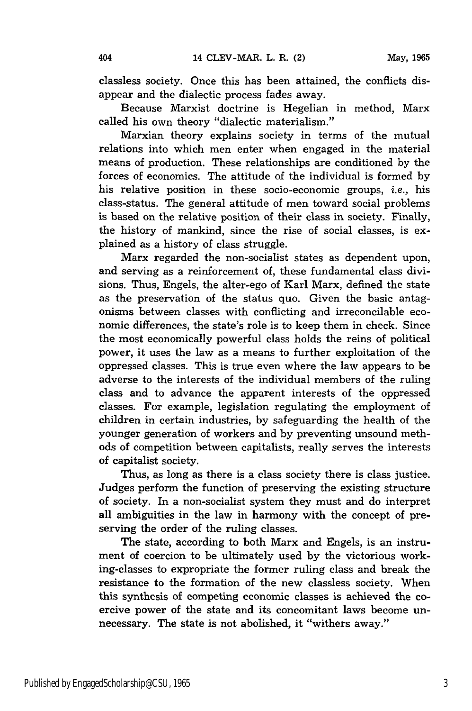classless society. Once this has been attained, the conflicts disappear and the dialectic process fades away.

Because Marxist doctrine is Hegelian in method, Marx called his own theory "dialectic materialism."

Marxian theory explains society in terms of the mutual relations into which men enter when engaged in the material means of production. These relationships are conditioned by the forces of economics. The attitude of the individual is formed by his relative position in these socio-economic groups, i.e., his class-status. The general attitude of men toward social problems is based on the relative position of their class in society. Finally, the history of mankind, since the rise of social classes, is explained as a history of class struggle.

Marx regarded the non-socialist states as dependent upon, and serving as a reinforcement of, these fundamental class divisions. Thus, Engels, the alter-ego of Karl Marx, defined the state as the preservation of the status quo. Given the basic antagonisms between classes with conflicting and irreconcilable economic differences, the state's role is to keep them in check. Since the most economically powerful class holds the reins of political power, it uses the law as a means to further exploitation of the oppressed classes. This is true even where the law appears to be adverse to the interests of the individual members of the ruling class and to advance the apparent interests of the oppressed classes. For example, legislation regulating the employment of children in certain industries, by safeguarding the health of the younger generation of workers and by preventing unsound methods of competition between capitalists, really serves the interests of capitalist society.

Thus, as long as there is a class society there is class justice. Judges perform the function of preserving the existing structure of society. In a non-socialist system they must and do interpret all ambiguities in the law in harmony with the concept of preserving the order of the ruling classes.

The state, according to both Marx and Engels, is an instrument of coercion to be ultimately used by the victorious working-classes to expropriate the former ruling class and break the resistance to the formation of the new classless society. When this synthesis of competing economic classes is achieved the coercive power of the state and its concomitant laws become unnecessary. The state is not abolished, it "withers away."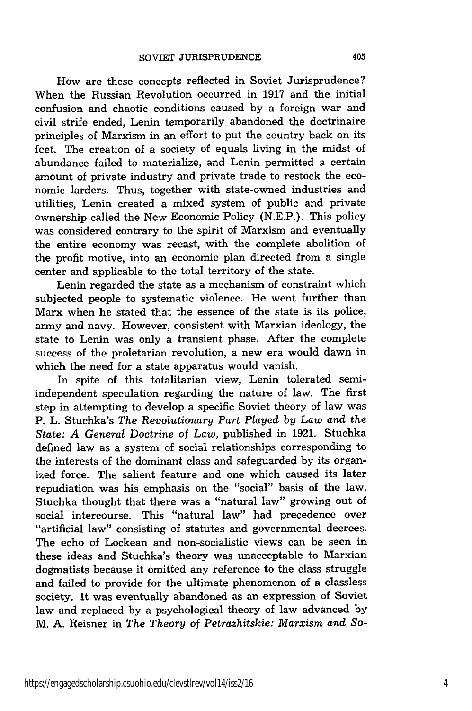How are these concepts reflected in Soviet Jurisprudence? When the Russian Revolution occurred in 1917 and the initial confusion and chaotic conditions caused by a foreign war and civil strife ended, Lenin temporarily abandoned the doctrinaire principles of Marxism in an effort to put the country back on its feet. The creation of a society of equals living in the midst of abundance failed to materialize, and Lenin permitted a certain amount of private industry and private trade to restock the economic larders. Thus, together with state-owned industries and utilities, Lenin created a mixed system of public and private ownership called the New Economic Policy (N.E.P.). This policy was considered contrary to the spirit of Marxism and eventually the entire economy was recast, with the complete abolition of the profit motive, into an economic plan directed from a single center and applicable to the total territory of the state.

Lenin regarded the state as a mechanism of constraint which subjected people to systematic violence. He went further than Marx when he stated that the essence of the state is its police, army and navy. However, consistent with Marxian ideology, the state to Lenin was only a transient phase. After the complete success of the proletarian revolution, a new era would dawn in which the need for a state apparatus would vanish.

In spite of this totalitarian view, Lenin tolerated semiindependent speculation regarding the nature of law. The first step in attempting to develop a specific Soviet theory of law was P. L. Stuchka's *The Revolutionary Part Played by Law and the State: A General Doctrine* of *Law,* published in 1921. Stuchka defined law as a system of social relationships corresponding to the interests of the dominant class and safeguarded by its organized force. The salient feature and one which caused its later repudiation was his emphasis on the "social" basis of the law. Stuchka thought that there was a "natural law" growing out of social intercourse. This "natural law" had precedence over "artificial law" consisting of statutes and governmental decrees. The echo of Lockean and non-socialistic views can be seen in these ideas and Stuchka's theory was unacceptable to Marxian dogmatists because it omitted any reference to the class struggle and failed to provide for the ultimate phenomenon of a classless society. It was eventually abandoned as an expression of Soviet law and replaced by a psychological theory of law advanced by M. A. Reisner in *The Theory of Petrazhitskie: Marxism and* So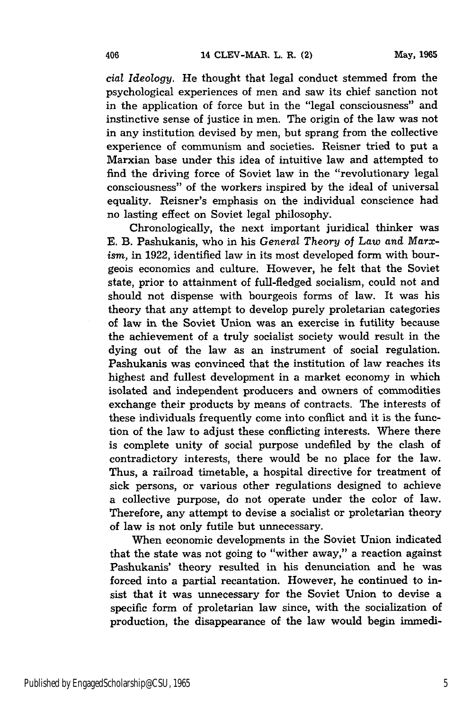*cial Ideology.* He thought that legal conduct stemmed from the psychological experiences of men and saw its chief sanction not in the application of force but in the "legal consciousness" and instinctive sense of justice in men. The origin of the law was not in any institution devised by men, but sprang from the collective experience of communism and societies. Reisner tried to put a Marxian base under this idea of intuitive law and attempted to find the driving force of Soviet law in the "revolutionary legal consciousness" of the workers inspired by the ideal of universal equality. Reisner's emphasis on the individual conscience had no lasting effect on Soviet legal philosophy.

Chronologically, the next important juridical thinker was E. B. Pashukanis, who in his *General Theory* of *Law and Marxism,* in 1922, identified law in its most developed form with bourgeois economics and culture. However, he felt that the Soviet state, prior to attainment of full-fledged socialism, could not and should not dispense with bourgeois forms of law. It was his theory that any attempt to develop purely proletarian categories of law in the Soviet Union was an exercise in futility because the achievement of a truly socialist society would result in the dying out of the law as an instrument of social regulation. Pashukanis was convinced that the institution of law reaches its highest and fullest development in a market economy in which isolated and independent producers and owners of commodities exchange their products by means of contracts. The interests of these individuals frequently come into conflict and it is the function of the law to adjust these conflicting interests. Where there is complete unity of social purpose undefiled by the clash of contradictory interests, there would be no place for the law. Thus, a railroad timetable, a hospital directive for treatment of sick persons, or various other regulations designed to achieve a collective purpose, do not operate under the color of law. Therefore, any attempt to devise a socialist or proletarian theory of law is not only futile but unnecessary.

When economic developments in the Soviet Union indicated that the state was not going to "wither away," a reaction against Pashukanis' theory resulted in his denunciation and he was forced into a partial recantation. However, he continued to insist that it was unnecessary for the Soviet Union to devise a specific form of proletarian law since, with the socialization of production, the disappearance of the law would begin immedi-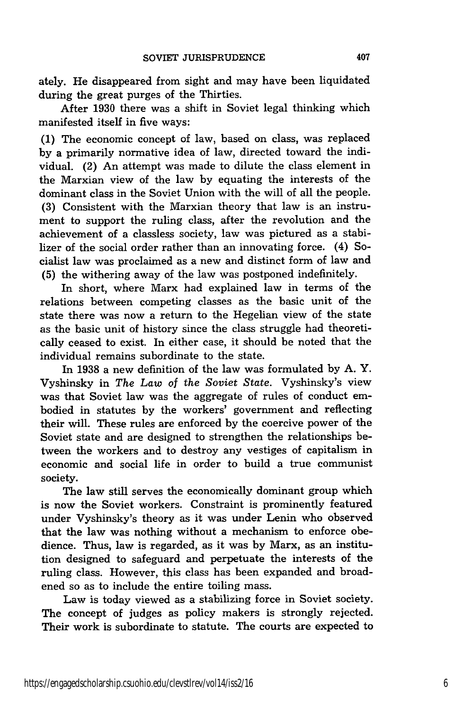ately. He disappeared from sight and may have been liquidated during the great purges of the Thirties.

After 1930 there was a shift in Soviet legal thinking which manifested itself in five ways:

**(1)** The economic concept of law, based on class, was replaced by a primarily normative idea of law, directed toward the individual. (2) An attempt was made to dilute the class element in the Marxian view of the law by equating the interests of the dominant class in the Soviet Union with the will of all the people. (3) Consistent with the Marxian theory that law is an instrument to support the ruling class, after the revolution and the achievement of a classless society, law was pictured as a stabilizer of the social order rather than an innovating force. (4) Socialist law was proclaimed as a new and distinct form of law and (5) the withering away of the law was postponed indefinitely.

In short, where Marx had explained law in terms of the relations between competing classes as the basic unit of the state there was now a return to the Hegelian view of the state as the basic unit of history since the class struggle had theoretically ceased to exist. In either case, it should be noted that the individual remains subordinate to the state.

In 1938 a new definition of the law was formulated by A. Y. Vyshinsky in *The Law of the Soviet State.* Vyshinsky's view was that Soviet law was the aggregate of rules of conduct embodied in statutes by the workers' government and reflecting their will. These rules are enforced by the coercive power of the Soviet state and are designed to strengthen the relationships between the workers and to destroy any vestiges of capitalism in economic and social life in order to build a true communist society.

The law still serves the economically dominant group which is now the Soviet workers. Constraint is prominently featured under Vyshinsky's theory as it was under Lenin who observed that the law was nothing without a mechanism to enforce obedience. Thus, law is regarded, as it was by Marx, as an institution designed to safeguard and perpetuate the interests of the ruling class. However, this class has been expanded and broadened so as to include the entire toiling mass.

Law is today viewed as a stabilizing force in Soviet society. The concept of judges as policy makers is strongly rejected. Their work is subordinate to statute. The courts are expected to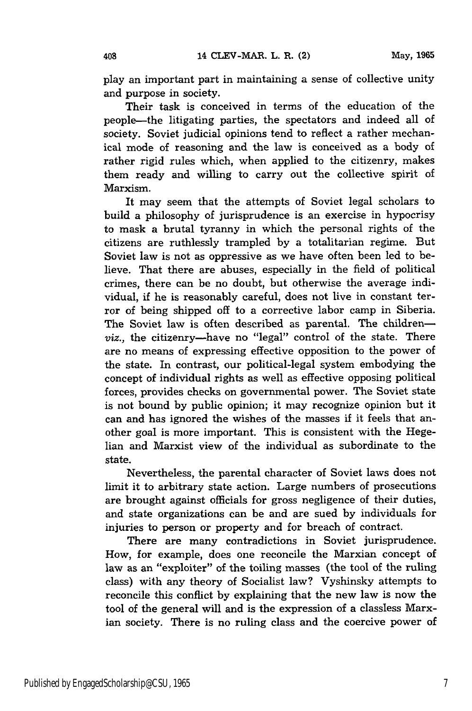play an important part in maintaining a sense of collective unity and purpose in society.

Their task is conceived in terms of the education of the people-the litigating parties, the spectators and indeed all of society. Soviet judicial opinions tend to reflect a rather mechanical mode of reasoning and the law is conceived as a body of rather rigid rules which, when applied to the citizenry, makes them ready and willing to carry out the collective spirit of Marxism.

It may seem that the attempts of Soviet legal scholars to build a philosophy of jurisprudence is an exercise in hypocrisy to mask a brutal tyranny in which the personal rights of the citizens are ruthlessly trampled by a totalitarian regime. But Soviet law is not as oppressive as we have often been led to believe. That there are abuses, especially in the field of political crimes, there can be no doubt, but otherwise the average individual, if he is reasonably careful, does not live in constant terror of being shipped off to a corrective labor camp in Siberia. The Soviet law is often described as parental. The children*viz.,* the citizenry-have no "legal" control of the state. There are no means of expressing effective opposition to the power of the state. In contrast, our political-legal system embodying the concept of individual rights as well as effective opposing political forces, provides checks on governmental power. The Soviet state is not bound by public opinion; it may recognize opinion but it can and has ignored the wishes of the masses if it feels that another goal is more important. This is consistent with the Hegelian and Marxist view of the individual as subordinate to the state.

Nevertheless, the parental character of Soviet laws does not limit it to arbitrary state action. Large numbers of prosecutions are brought against officials for gross negligence of their duties, and state organizations can be and are sued by individuals for injuries to person or property and for breach of contract.

There are many contradictions in Soviet jurisprudence. How, for example, does one reconcile the Marxian concept of law as an "exploiter" of the toiling masses (the tool of the ruling class) with any theory of Socialist law? Vyshinsky attempts to reconcile this conflict by explaining that the new law is now the tool of the general will and is the expression of a classless Marxian society. There is no ruling class and the coercive power of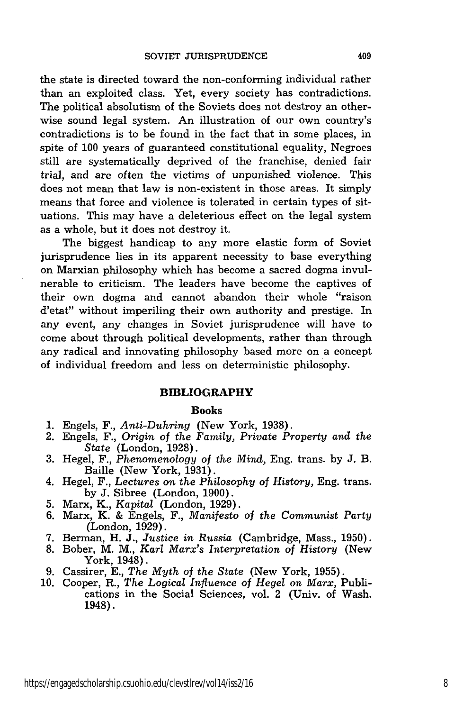the state is directed toward the non-conforming individual rather than an exploited class. Yet, every society has contradictions. The political absolutism of the Soviets does not destroy an otherwise sound legal system. An illustration of our own country's contradictions is to be found in the fact that in some places, in spite of 100 years of guaranteed constitutional equality, Negroes still are systematically deprived of the franchise, denied fair trial, and are often the victims of unpunished violence. This does not mean that law is non-existent in those areas. It simply means that force and violence is tolerated in certain types of situations. This may have a deleterious effect on the legal system as a whole, but it does not destroy it.

The biggest handicap to any more elastic form of Soviet jurisprudence lies in its apparent necessity to base everything on Marxian philosophy which has become a sacred dogma invulnerable to criticism. The leaders have become the captives of their own dogma and cannot abandon their whole "raison d'etat" without imperiling their own authority and prestige. In any event, any changes in Soviet jurisprudence will have to come about through political developments, rather than through any radical and innovating philosophy based more on a concept of individual freedom and less on deterministic philosophy.

### **BIBLIOGRAPHY**

#### **Books**

- **1.** Engels, **F.,** *Anti-Duhring* (New York, **1938).**
- 2. Engels, F., *Origin of the Family, Private Property and the State* (London, 1928).
- 3. Hegel, F., *Phenomenology* of *the Mind,* Eng. trans. by J. B. Baille (New York, 1931).
- 4. Hegel, F., *Lectures on the Philosophy of History,* Eng. trans. by J. Sibree (London, 1900).
- 5. Marx, K., *Kapital* (London, 1929).
- 6. Marx, K. & Engels, F., *Manifesto of the Communist Party* (London, 1929).
- 7. Berman, H. J., *Justice in Russia* (Cambridge, Mass., 1950).
- 8. Bober, M. M., *Karl Marx's Interpretation of History* (New York, 1948).
- 9. Cassirer, E., *The Myth of the State* (New York, 1955).
- 10. Cooper, R., *The Logical Influence of Hegel on Marx,* Publications in the Social Sciences, vol. 2 (Univ. of Wash. 1948).